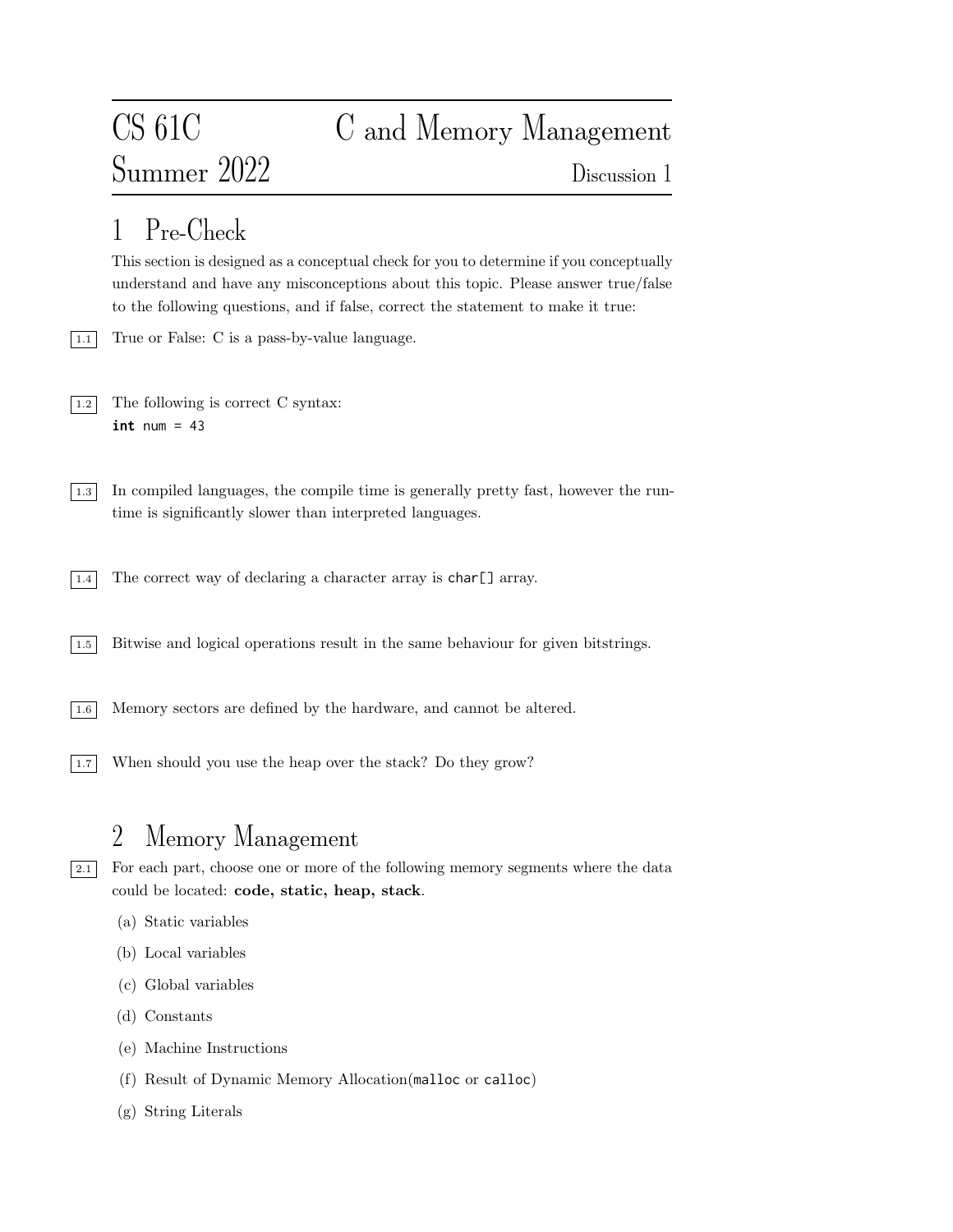# Summer 2022 Discussion 1

# CS 61C C and Memory Management

## 1 Pre-Check

This section is designed as a conceptual check for you to determine if you conceptually understand and have any misconceptions about this topic. Please answer true/false to the following questions, and if false, correct the statement to make it true:

- 1.1 True or False: C is a pass-by-value language.
- $\boxed{1.2}$  The following is correct C syntax: **int** num = 43
- 1.3 In compiled languages, the compile time is generally pretty fast, however the runtime is significantly slower than interpreted languages.
- $\boxed{1.4}$  The correct way of declaring a character array is char [] array.
- 1.5 Bitwise and logical operations result in the same behaviour for given bitstrings.
- 1.6 Memory sectors are defined by the hardware, and cannot be altered.
- 1.7 When should you use the heap over the stack? Do they grow?

### 2 Memory Management

2.1 For each part, choose one or more of the following memory segments where the data could be located: code, static, heap, stack.

- (a) Static variables
- (b) Local variables
- (c) Global variables
- (d) Constants
- (e) Machine Instructions
- (f) Result of Dynamic Memory Allocation(malloc or calloc)
- (g) String Literals